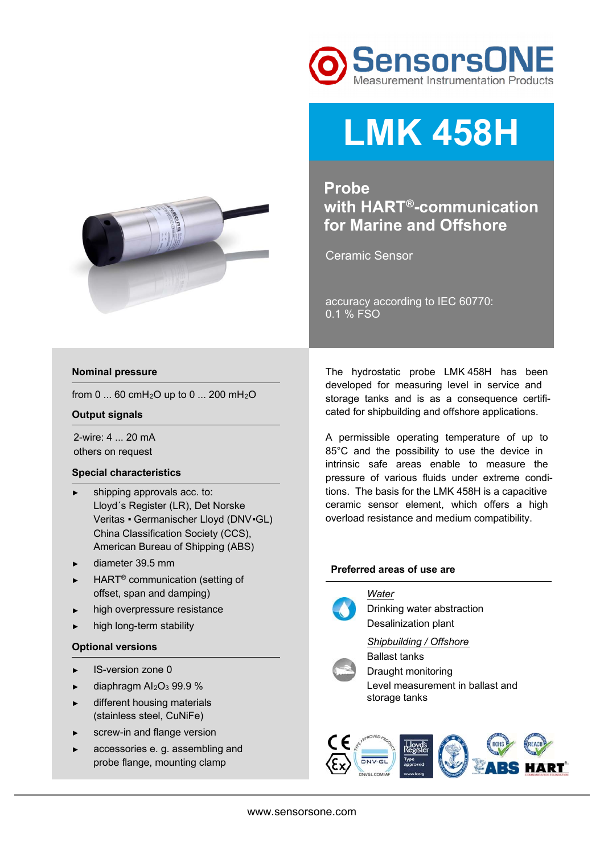



# **LMK 458H**

**Probe with HART®-communication for Marine and Offshore**

Ceramic Sensor

accuracy according to IEC 60770: 0.1 % FSO

# **Nominal pressure**

from 0 ... 60 cmH<sub>2</sub>O up to 0 ... 200 mH<sub>2</sub>O

# **Output signals**

2-wire: 4 ... 20 mA others on request

#### **Special characteristics**

- shipping approvals acc. to: Lloyd´s Register (LR), Det Norske Veritas ▪ Germanischer Lloyd (DNV▪GL) China Classification Society (CCS), American Bureau of Shipping (ABS)
- ► diameter 39.5 mm
- HART<sup>®</sup> communication (setting of offset, span and damping)
- ► high overpressure resistance
- high long-term stability

### **Optional versions**

- ► IS-version zone 0
- $\blacktriangleright$  diaphragm Al<sub>2</sub>O<sub>3</sub> 99.9 %
- ► different housing materials (stainless steel, CuNiFe)
- ► screw-in and flange version
- accessories e. g. assembling and probe flange, mounting clamp

The hydrostatic probe LMK 458H has been developed for measuring level in service and storage tanks and is as a consequence certificated for shipbuilding and offshore applications.

A permissible operating temperature of up to 85°C and the possibility to use the device in intrinsic safe areas enable to measure the pressure of various fluids under extreme conditions. The basis for the LMK 458H is a capacitive ceramic sensor element, which offers a high overload resistance and medium compatibility.

#### **Preferred areas of use are**



*Water*  Drinking water abstraction Desalinization plant

# *Shipbuilding / Offshore*



Ballast tanks Draught monitoring Level measurement in ballast and storage tanks

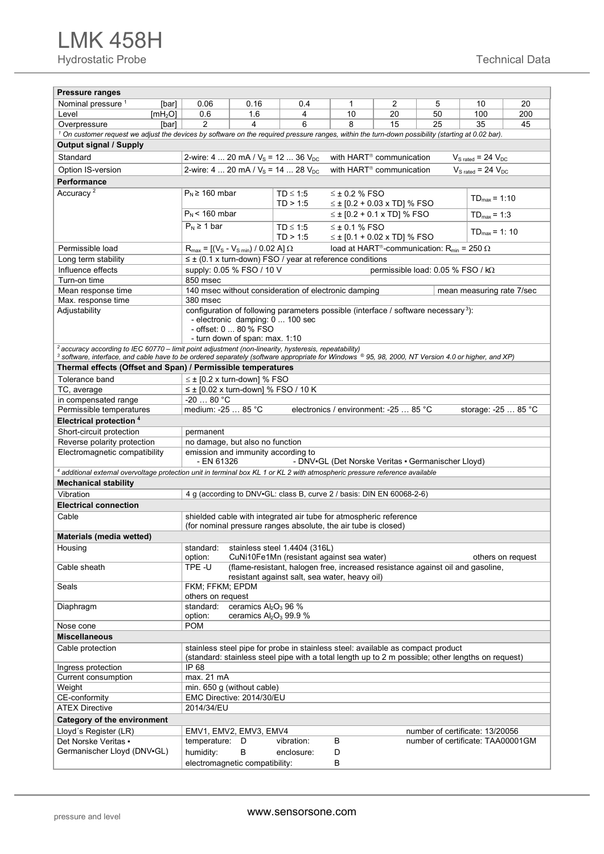| <b>Pressure ranges</b>                                                                                                                                                                                             |                                                                                                                                        |                                                                                                                                    |                                                                                                   |                                                    |                                                              |    |                           |                   |  |  |  |
|--------------------------------------------------------------------------------------------------------------------------------------------------------------------------------------------------------------------|----------------------------------------------------------------------------------------------------------------------------------------|------------------------------------------------------------------------------------------------------------------------------------|---------------------------------------------------------------------------------------------------|----------------------------------------------------|--------------------------------------------------------------|----|---------------------------|-------------------|--|--|--|
| Nominal pressure <sup>1</sup><br>[bar]                                                                                                                                                                             | 0.06                                                                                                                                   | 0.16                                                                                                                               | 0.4                                                                                               | $\mathbf 1$                                        | 2                                                            | 5  | 10                        | 20                |  |  |  |
| Level<br>[mH <sub>2</sub> O]                                                                                                                                                                                       | 0.6                                                                                                                                    | 1.6                                                                                                                                | 4                                                                                                 | 10                                                 | 20                                                           | 50 | 100                       | 200               |  |  |  |
| Overpressure<br>[bar]                                                                                                                                                                                              | 2                                                                                                                                      | 4                                                                                                                                  | 6                                                                                                 | 8                                                  | 15                                                           | 25 | 35                        | 45                |  |  |  |
| <sup>1</sup> On customer request we adjust the devices by software on the required pressure ranges, within the turn-down possibility (starting at 0.02 bar).                                                       |                                                                                                                                        |                                                                                                                                    |                                                                                                   |                                                    |                                                              |    |                           |                   |  |  |  |
| <b>Output signal / Supply</b>                                                                                                                                                                                      |                                                                                                                                        |                                                                                                                                    |                                                                                                   |                                                    |                                                              |    |                           |                   |  |  |  |
| Standard                                                                                                                                                                                                           | 2-wire: 4  20 mA / $V_s$ = 12  36 $V_{DC}$<br>with HART <sup>®</sup> communication<br>$V_{S \text{ rated}} = 24 V_{DC}$                |                                                                                                                                    |                                                                                                   |                                                    |                                                              |    |                           |                   |  |  |  |
| Option IS-version                                                                                                                                                                                                  | 2-wire: 4  20 mA / $V_s$ = 14  28 $V_{DC}$                                                                                             | $V_{S\,rated} = 24 V_{DC}$                                                                                                         |                                                                                                   |                                                    |                                                              |    |                           |                   |  |  |  |
| <b>Performance</b>                                                                                                                                                                                                 |                                                                                                                                        |                                                                                                                                    |                                                                                                   |                                                    |                                                              |    |                           |                   |  |  |  |
| Accuracy <sup>2</sup>                                                                                                                                                                                              | $P_N \ge 160$ mbar                                                                                                                     |                                                                                                                                    | TD < 1.5                                                                                          | $<$ ± 0.2 % FSO                                    |                                                              |    |                           |                   |  |  |  |
|                                                                                                                                                                                                                    |                                                                                                                                        |                                                                                                                                    | TD > 1:5                                                                                          |                                                    | $\leq \pm$ [0.2 + 0.03 x TD] % FSO                           |    | $TD_{max} = 1:10$         |                   |  |  |  |
|                                                                                                                                                                                                                    | $P_N$ < 160 mbar                                                                                                                       |                                                                                                                                    |                                                                                                   |                                                    | $\leq$ ± [0.2 + 0.1 x TD] % FSO                              |    | $TD_{max} = 1:3$          |                   |  |  |  |
|                                                                                                                                                                                                                    | $P_N \geq 1$ bar                                                                                                                       |                                                                                                                                    | $TD \leq 1.5$                                                                                     | $\leq$ ± 0.1 % FSO                                 |                                                              |    | $TD_{max} = 1: 10$        |                   |  |  |  |
|                                                                                                                                                                                                                    |                                                                                                                                        |                                                                                                                                    | TD > 1:5                                                                                          |                                                    | $\leq$ ± [0.1 + 0.02 x TD] % FSO                             |    |                           |                   |  |  |  |
| Permissible load                                                                                                                                                                                                   | $R_{\text{max}} = [(V_{\text{S}} - V_{\text{S min}}) / 0.02 \text{ A}] \Omega$                                                         |                                                                                                                                    |                                                                                                   |                                                    | load at HART®-communication: R <sub>min</sub> = 250 $\Omega$ |    |                           |                   |  |  |  |
| Long term stability                                                                                                                                                                                                |                                                                                                                                        |                                                                                                                                    | $\leq \pm$ (0.1 x turn-down) FSO / year at reference conditions                                   |                                                    |                                                              |    |                           |                   |  |  |  |
| Influence effects                                                                                                                                                                                                  |                                                                                                                                        | supply: 0.05 % FSO / 10 V<br>permissible load: $0.05\%$ FSO / kQ                                                                   |                                                                                                   |                                                    |                                                              |    |                           |                   |  |  |  |
| Turn-on time                                                                                                                                                                                                       | 850 msec<br>140 msec without consideration of electronic damping                                                                       |                                                                                                                                    |                                                                                                   |                                                    |                                                              |    |                           |                   |  |  |  |
| Mean response time                                                                                                                                                                                                 |                                                                                                                                        |                                                                                                                                    |                                                                                                   |                                                    |                                                              |    | mean measuring rate 7/sec |                   |  |  |  |
| Max. response time<br>Adjustability                                                                                                                                                                                | 380 msec                                                                                                                               |                                                                                                                                    |                                                                                                   |                                                    |                                                              |    |                           |                   |  |  |  |
|                                                                                                                                                                                                                    |                                                                                                                                        | configuration of following parameters possible (interface / software necessary <sup>3</sup> ):<br>- electronic damping: 0  100 sec |                                                                                                   |                                                    |                                                              |    |                           |                   |  |  |  |
|                                                                                                                                                                                                                    |                                                                                                                                        | - offset: 0  80 % FSO                                                                                                              |                                                                                                   |                                                    |                                                              |    |                           |                   |  |  |  |
|                                                                                                                                                                                                                    |                                                                                                                                        | - turn down of span: max. 1:10                                                                                                     |                                                                                                   |                                                    |                                                              |    |                           |                   |  |  |  |
| $2$ accuracy according to IEC 60770 – limit point adjustment (non-linearity, hysteresis, repeatability)                                                                                                            |                                                                                                                                        |                                                                                                                                    |                                                                                                   |                                                    |                                                              |    |                           |                   |  |  |  |
| 3 software, interface, and cable have to be ordered separately (software appropriate for Windows ® 95, 98, 2000, NT Version 4.0 or higher, and XP)<br>Thermal effects (Offset and Span) / Permissible temperatures |                                                                                                                                        |                                                                                                                                    |                                                                                                   |                                                    |                                                              |    |                           |                   |  |  |  |
| Tolerance band                                                                                                                                                                                                     |                                                                                                                                        |                                                                                                                                    |                                                                                                   |                                                    |                                                              |    |                           |                   |  |  |  |
| TC, average                                                                                                                                                                                                        | $\leq \pm$ [0.2 x turn-down] % FSO<br>$\leq \pm$ [0.02 x turn-down] % FSO / 10 K                                                       |                                                                                                                                    |                                                                                                   |                                                    |                                                              |    |                           |                   |  |  |  |
| in compensated range                                                                                                                                                                                               | $-2080 °C$                                                                                                                             |                                                                                                                                    |                                                                                                   |                                                    |                                                              |    |                           |                   |  |  |  |
| Permissible temperatures                                                                                                                                                                                           | medium: -25  85 °C                                                                                                                     |                                                                                                                                    |                                                                                                   | electronics / environment: -25  85 °C              |                                                              |    | storage: -25  85 °C       |                   |  |  |  |
| <b>Electrical protection 4</b>                                                                                                                                                                                     |                                                                                                                                        |                                                                                                                                    |                                                                                                   |                                                    |                                                              |    |                           |                   |  |  |  |
| Short-circuit protection                                                                                                                                                                                           | permanent                                                                                                                              |                                                                                                                                    |                                                                                                   |                                                    |                                                              |    |                           |                   |  |  |  |
| Reverse polarity protection                                                                                                                                                                                        | no damage, but also no function                                                                                                        |                                                                                                                                    |                                                                                                   |                                                    |                                                              |    |                           |                   |  |  |  |
| Electromagnetic compatibility                                                                                                                                                                                      | emission and immunity according to                                                                                                     |                                                                                                                                    |                                                                                                   |                                                    |                                                              |    |                           |                   |  |  |  |
|                                                                                                                                                                                                                    | - EN 61326                                                                                                                             |                                                                                                                                    |                                                                                                   | - DNV-GL (Det Norske Veritas - Germanischer Lloyd) |                                                              |    |                           |                   |  |  |  |
| 4 additional external overvoltage protection unit in terminal box KL 1 or KL 2 with atmospheric pressure reference available                                                                                       |                                                                                                                                        |                                                                                                                                    |                                                                                                   |                                                    |                                                              |    |                           |                   |  |  |  |
| <b>Mechanical stability</b>                                                                                                                                                                                        |                                                                                                                                        |                                                                                                                                    |                                                                                                   |                                                    |                                                              |    |                           |                   |  |  |  |
| Vibration                                                                                                                                                                                                          |                                                                                                                                        |                                                                                                                                    | 4 g (according to DNV-GL: class B, curve 2 / basis: DIN EN 60068-2-6)                             |                                                    |                                                              |    |                           |                   |  |  |  |
| <b>Electrical connection</b>                                                                                                                                                                                       |                                                                                                                                        |                                                                                                                                    |                                                                                                   |                                                    |                                                              |    |                           |                   |  |  |  |
| shielded cable with integrated air tube for atmospheric reference<br>Cable<br>(for nominal pressure ranges absolute, the air tube is closed)                                                                       |                                                                                                                                        |                                                                                                                                    |                                                                                                   |                                                    |                                                              |    |                           |                   |  |  |  |
| Materials (media wetted)                                                                                                                                                                                           |                                                                                                                                        |                                                                                                                                    |                                                                                                   |                                                    |                                                              |    |                           |                   |  |  |  |
| Housing                                                                                                                                                                                                            | standard:                                                                                                                              |                                                                                                                                    | stainless steel 1.4404 (316L)                                                                     |                                                    |                                                              |    |                           |                   |  |  |  |
|                                                                                                                                                                                                                    | option:                                                                                                                                |                                                                                                                                    | CuNi10Fe1Mn (resistant against sea water)                                                         |                                                    |                                                              |    |                           | others on request |  |  |  |
| Cable sheath                                                                                                                                                                                                       | TPE-U                                                                                                                                  |                                                                                                                                    | (flame-resistant, halogen free, increased resistance against oil and gasoline,                    |                                                    |                                                              |    |                           |                   |  |  |  |
|                                                                                                                                                                                                                    |                                                                                                                                        |                                                                                                                                    | resistant against salt, sea water, heavy oil)                                                     |                                                    |                                                              |    |                           |                   |  |  |  |
| Seals                                                                                                                                                                                                              | FKM; FFKM; EPDM                                                                                                                        |                                                                                                                                    |                                                                                                   |                                                    |                                                              |    |                           |                   |  |  |  |
| Diaphragm                                                                                                                                                                                                          | others on request<br>standard:                                                                                                         | ceramics Al <sub>2</sub> O <sub>3</sub> 96 %                                                                                       |                                                                                                   |                                                    |                                                              |    |                           |                   |  |  |  |
|                                                                                                                                                                                                                    | option:                                                                                                                                | ceramics $Al_2O_3$ 99.9 %                                                                                                          |                                                                                                   |                                                    |                                                              |    |                           |                   |  |  |  |
| Nose cone                                                                                                                                                                                                          | <b>POM</b>                                                                                                                             |                                                                                                                                    |                                                                                                   |                                                    |                                                              |    |                           |                   |  |  |  |
| <b>Miscellaneous</b>                                                                                                                                                                                               |                                                                                                                                        |                                                                                                                                    |                                                                                                   |                                                    |                                                              |    |                           |                   |  |  |  |
| Cable protection                                                                                                                                                                                                   |                                                                                                                                        |                                                                                                                                    | stainless steel pipe for probe in stainless steel: available as compact product                   |                                                    |                                                              |    |                           |                   |  |  |  |
|                                                                                                                                                                                                                    |                                                                                                                                        |                                                                                                                                    | (standard: stainless steel pipe with a total length up to 2 m possible; other lengths on request) |                                                    |                                                              |    |                           |                   |  |  |  |
| Ingress protection                                                                                                                                                                                                 | IP 68                                                                                                                                  |                                                                                                                                    |                                                                                                   |                                                    |                                                              |    |                           |                   |  |  |  |
| Current consumption                                                                                                                                                                                                | max. 21 mA                                                                                                                             |                                                                                                                                    |                                                                                                   |                                                    |                                                              |    |                           |                   |  |  |  |
| Weight                                                                                                                                                                                                             | min. 650 g (without cable)                                                                                                             |                                                                                                                                    |                                                                                                   |                                                    |                                                              |    |                           |                   |  |  |  |
| CE-conformity<br><b>ATEX Directive</b>                                                                                                                                                                             | EMC Directive: 2014/30/EU<br>2014/34/EU                                                                                                |                                                                                                                                    |                                                                                                   |                                                    |                                                              |    |                           |                   |  |  |  |
|                                                                                                                                                                                                                    |                                                                                                                                        |                                                                                                                                    |                                                                                                   |                                                    |                                                              |    |                           |                   |  |  |  |
| <b>Category of the environment</b>                                                                                                                                                                                 |                                                                                                                                        |                                                                                                                                    |                                                                                                   |                                                    |                                                              |    |                           |                   |  |  |  |
| Lloyd's Register (LR)<br>Det Norske Veritas •                                                                                                                                                                      | number of certificate: 13/20056<br>EMV1, EMV2, EMV3, EMV4<br>B<br>temperature:<br>vibration:<br>number of certificate: TAA00001GM<br>D |                                                                                                                                    |                                                                                                   |                                                    |                                                              |    |                           |                   |  |  |  |
| Germanischer Lloyd (DNV-GL)                                                                                                                                                                                        | humidity:                                                                                                                              | В                                                                                                                                  | enclosure:                                                                                        | D                                                  |                                                              |    |                           |                   |  |  |  |
|                                                                                                                                                                                                                    | electromagnetic compatibility:                                                                                                         |                                                                                                                                    |                                                                                                   | В                                                  |                                                              |    |                           |                   |  |  |  |
|                                                                                                                                                                                                                    |                                                                                                                                        |                                                                                                                                    |                                                                                                   |                                                    |                                                              |    |                           |                   |  |  |  |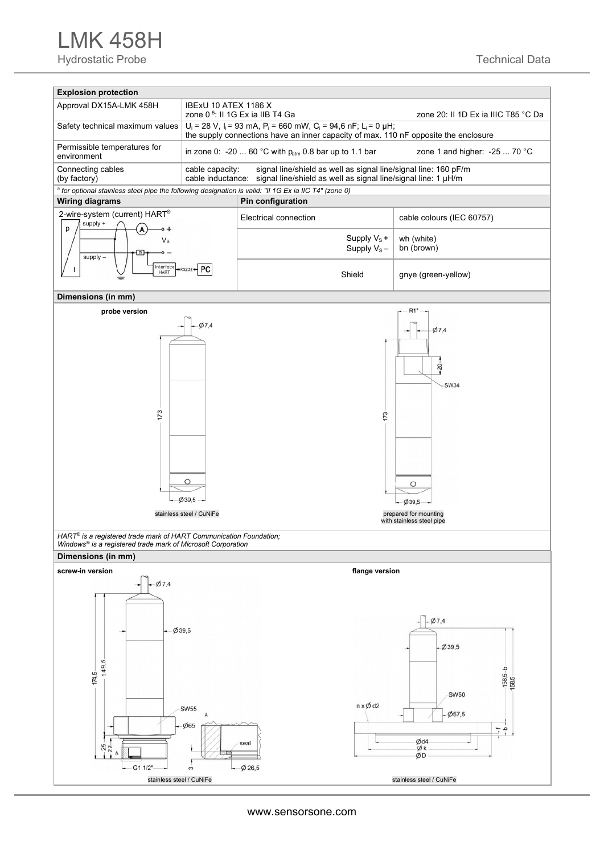LMK 458H Hydrostatic Probe Technical Data



www.sensorsone.com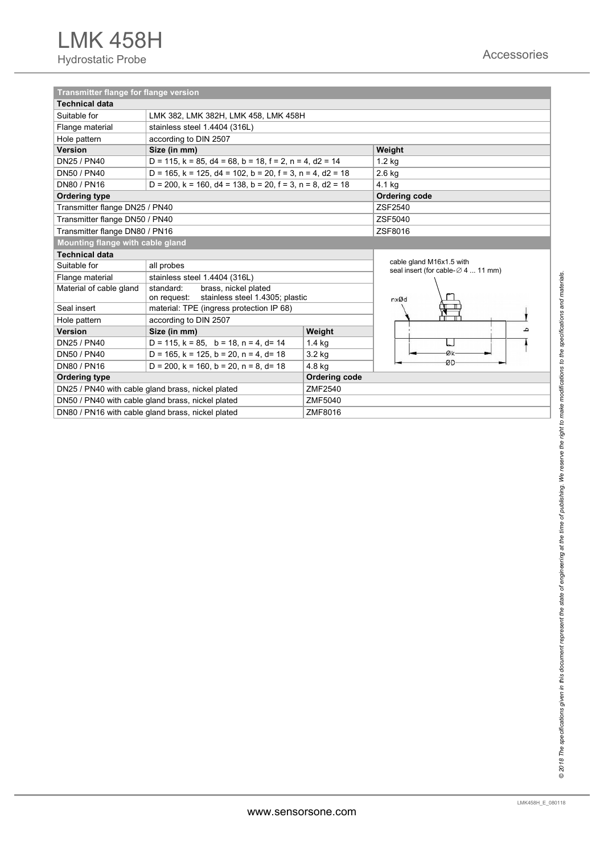| <b>Transmitter flange for flange version</b> |                                                                                     |                                                                               |         |  |  |  |  |  |  |
|----------------------------------------------|-------------------------------------------------------------------------------------|-------------------------------------------------------------------------------|---------|--|--|--|--|--|--|
| <b>Technical data</b>                        |                                                                                     |                                                                               |         |  |  |  |  |  |  |
| Suitable for                                 | LMK 382, LMK 382H, LMK 458, LMK 458H                                                |                                                                               |         |  |  |  |  |  |  |
| Flange material                              | stainless steel 1.4404 (316L)                                                       |                                                                               |         |  |  |  |  |  |  |
| Hole pattern                                 | according to DIN 2507                                                               |                                                                               |         |  |  |  |  |  |  |
| Version                                      | Size (in mm)                                                                        |                                                                               | Weight  |  |  |  |  |  |  |
| DN25 / PN40                                  | D = 115, $k = 85$ , $d4 = 68$ , $b = 18$ , $f = 2$ , $n = 4$ , $d2 = 14$            | 1.2 kg                                                                        |         |  |  |  |  |  |  |
| DN50 / PN40                                  |                                                                                     | $D = 165$ , $k = 125$ , $d4 = 102$ , $b = 20$ , $f = 3$ , $n = 4$ , $d2 = 18$ |         |  |  |  |  |  |  |
| DN80 / PN16                                  | $D = 200$ , $k = 160$ , $d4 = 138$ , $b = 20$ , $f = 3$ , $n = 8$ , $d2 = 18$       | 4.1 kg                                                                        |         |  |  |  |  |  |  |
| <b>Ordering type</b>                         |                                                                                     | <b>Ordering code</b>                                                          |         |  |  |  |  |  |  |
| Transmitter flange DN25 / PN40               |                                                                                     | ZSF2540                                                                       |         |  |  |  |  |  |  |
| Transmitter flange DN50 / PN40               |                                                                                     | ZSF5040                                                                       |         |  |  |  |  |  |  |
| Transmitter flange DN80 / PN16               |                                                                                     | ZSF8016                                                                       |         |  |  |  |  |  |  |
| Mounting flange with cable gland             |                                                                                     |                                                                               |         |  |  |  |  |  |  |
| <b>Technical data</b>                        |                                                                                     |                                                                               |         |  |  |  |  |  |  |
| Suitable for                                 | all probes                                                                          | cable gland M16x1.5 with<br>seal insert (for cable-⊘ 4  11 mm)                |         |  |  |  |  |  |  |
| Flange material                              | stainless steel 1.4404 (316L)                                                       |                                                                               |         |  |  |  |  |  |  |
| Material of cable gland                      | standard:<br>brass, nickel plated<br>stainless steel 1.4305; plastic<br>on request: | nxØd                                                                          |         |  |  |  |  |  |  |
| Seal insert                                  | material: TPE (ingress protection IP 68)                                            |                                                                               |         |  |  |  |  |  |  |
| Hole pattern                                 | according to DIN 2507                                                               |                                                                               |         |  |  |  |  |  |  |
| <b>Version</b>                               | Size (in mm)                                                                        | Weight                                                                        |         |  |  |  |  |  |  |
| DN25 / PN40                                  | $D = 115$ , $k = 85$ , $b = 18$ , $n = 4$ , $d = 14$                                | $1.4$ kg                                                                      |         |  |  |  |  |  |  |
| DN50 / PN40                                  | $D = 165$ , $k = 125$ , $b = 20$ , $n = 4$ , $d = 18$                               | 3.2 kg                                                                        | $Q_{k}$ |  |  |  |  |  |  |
| DN80 / PN16                                  | $D = 200$ , $k = 160$ , $b = 20$ , $n = 8$ , $d = 18$                               | -ØD                                                                           |         |  |  |  |  |  |  |
| <b>Ordering type</b>                         |                                                                                     | <b>Ordering code</b>                                                          |         |  |  |  |  |  |  |
|                                              | DN25 / PN40 with cable gland brass, nickel plated                                   | ZMF2540                                                                       |         |  |  |  |  |  |  |
|                                              | DN50 / PN40 with cable gland brass, nickel plated                                   | ZMF5040                                                                       |         |  |  |  |  |  |  |
|                                              | DN80 / PN16 with cable gland brass, nickel plated                                   | ZMF8016                                                                       |         |  |  |  |  |  |  |